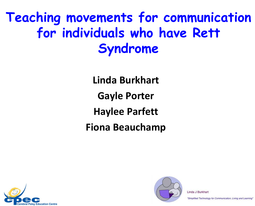#### **Teaching movements for communication for individuals who have Rett Syndrome**

**Linda Burkhart Gayle Porter Haylee Parfett Fiona Beauchamp**





Linda J Burkhart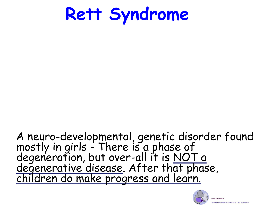**Rett Syndrome**

#### A neuro-developmental, genetic disorder found mostly in girls - There is a phase of degeneration, but over-all it is NOT a degenerative disease. After that phase, children do make progress and learn.

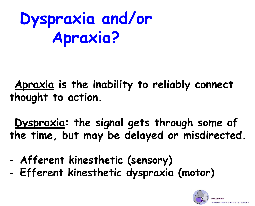# **Dyspraxia and/or Apraxia?**

**Apraxia is the inability to reliably connect thought to action.**

**Dyspraxia: the signal gets through some of the time, but may be delayed or misdirected.**

- **Afferent kinesthetic (sensory)**
- **Efferent kinesthetic dyspraxia (motor)**

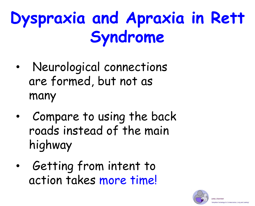# **Dyspraxia and Apraxia in Rett Syndrome**

- Neurological connections are formed, but not as many
- Compare to using the back roads instead of the main highway
- Getting from intent to action takes more time!



chnology for Communication. Living and Lear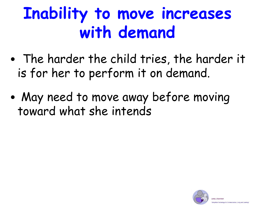# **Inability to move increases with demand**

- The harder the child tries, the harder it is for her to perform it on demand.
- May need to move away before moving toward what she intends

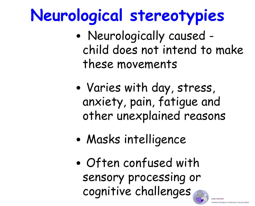# **Neurological stereotypies**

- Neurologically caused child does not intend to make these movements
- Varies with day, stress, anxiety, pain, fatigue and other unexplained reasons
- Masks intelligence
- Often confused with sensory processing or cognitive challenges

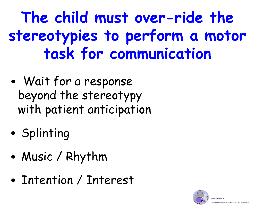**The child must over-ride the stereotypies to perform a motor task for communication**

- Wait for a response beyond the stereotypy with patient anticipation
- Splinting
- Music / Rhythm
- Intention / Interest

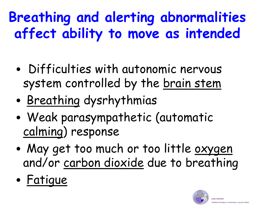## **Breathing and alerting abnormalities affect ability to move as intended**

- Difficulties with autonomic nervous system controlled by the brain stem
- Breathing dysrhythmias
- Weak parasympathetic (automatic calming) response
- May get too much or too little oxygen and/or carbon dioxide due to breathing
- Fatigue

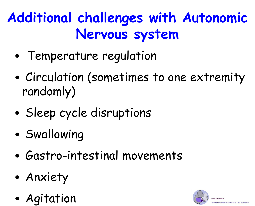### **Additional challenges with Autonomic Nervous system**

- Temperature regulation
- Circulation (sometimes to one extremity randomly)
- Sleep cycle disruptions
- Swallowing
- Gastro-intestinal movements
- Anxiety
- Agitation

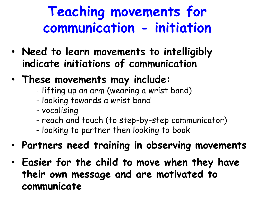### **Teaching movements for communication - initiation**

- **Need to learn movements to intelligibly indicate initiations of communication**
- **These movements may include:**
	- lifting up an arm (wearing a wrist band)
	- looking towards a wrist band
	- vocalising
	- reach and touch (to step-by-step communicator)
	- looking to partner then looking to book
- **Partners need training in observing movements**
- **Easier for the child to move when they have their own message and are motivated to communicate**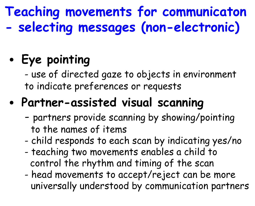#### **Teaching movements for communicaton - selecting messages (non-electronic)**

#### • **Eye pointing**

- use of directed gaze to objects in environment to indicate preferences or requests

#### • **Partner-assisted visual scanning**

- partners provide scanning by showing/pointing to the names of items
- child responds to each scan by indicating yes/no
- teaching two movements enables a child to control the rhythm and timing of the scan
- head movements to accept/reject can be more universally understood by communication partners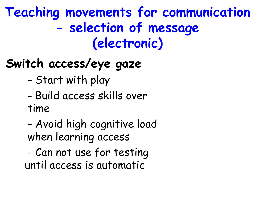**Teaching movements for communication - selection of message (electronic)**

### **Switch access/eye gaze**

- Start with play
- Build access skills over time
- Avoid high cognitive load when learning access
- Can not use for testing until access is automatic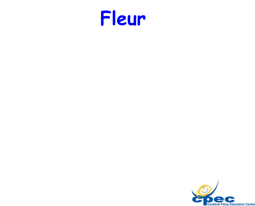

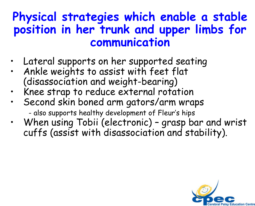#### **Physical strategies which enable a stable position in her trunk and upper limbs for communication**

- Lateral supports on her supported seating
- Ankle weights to assist with feet flat (disassociation and weight-bearing)
- Knee strap to reduce external rotation
- Second skin boned arm gators/arm wraps

- also supports healthy development of Fleur's hips

• When using Tobii (electronic) – grasp bar and wrist cuffs (assist with disassociation and stability).

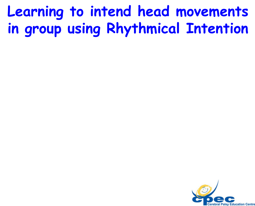### **Learning to intend head movements in group using Rhythmical Intention**

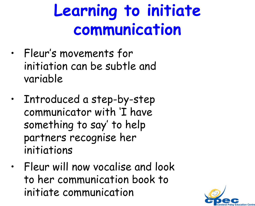# **Learning to initiate communication**

- Fleur's movements for initiation can be subtle and variable
- Introduced a step-by-step communicator with 'I have something to say' to help partners recognise her initiations
- Fleur will now vocalise and look to her communication book to initiate communication

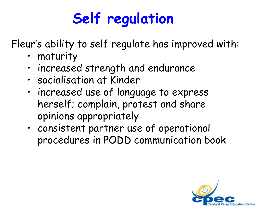# **Self regulation**

Fleur's ability to self regulate has improved with:

- maturity
- increased strength and endurance
- socialisation at Kinder
- increased use of language to express herself; complain, protest and share opinions appropriately
- consistent partner use of operational procedures in PODD communication book